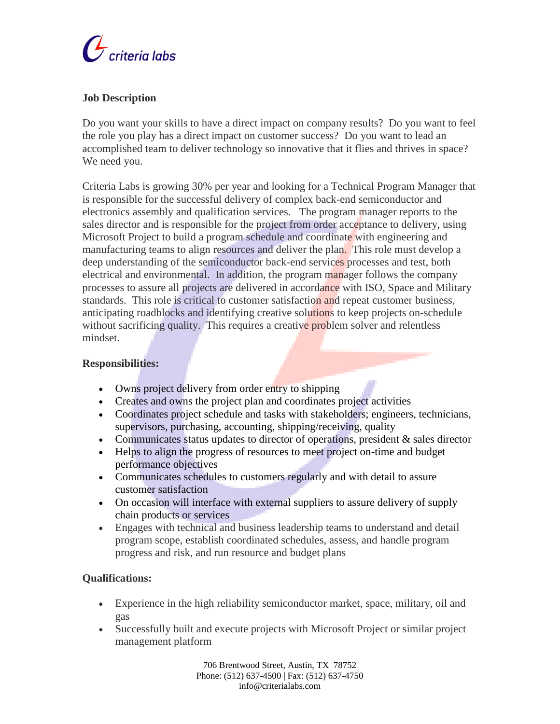

## **Job Description**

Do you want your skills to have a direct impact on company results? Do you want to feel the role you play has a direct impact on customer success? Do you want to lead an accomplished team to deliver technology so innovative that it flies and thrives in space? We need you.

Criteria Labs is growing 30% per year and looking for a Technical Program Manager that is responsible for the successful delivery of complex back-end semiconductor and electronics assembly and qualification services. The program manager reports to the sales director and is responsible for the project from order acceptance to delivery, using Microsoft Project to build a program schedule and coordinate with engineering and manufacturing teams to align resources and deliver the plan. This role must develop a deep understanding of the semiconductor back-end services processes and test, both electrical and environmental. In addition, the program manager follows the company processes to assure all projects are delivered in accordance with ISO, Space and Military standards. This role is critical to customer satisfaction and repeat customer business, anticipating roadblocks and identifying creative solutions to keep projects on-schedule without sacrificing quality. This requires a creative problem solver and relentless mindset.

## **Responsibilities:**

- Owns project delivery from order entry to shipping
- Creates and owns the project plan and coordinates project activities
- Coordinates project schedule and tasks with stakeholders; engineers, technicians, supervisors, purchasing, accounting, shipping/receiving, quality
- Communicates status updates to director of operations, president & sales director
- Helps to align the progress of resources to meet project on-time and budget performance objectives
- Communicates schedules to customers regularly and with detail to assure customer satisfaction
- On occasion will interface with external suppliers to assure delivery of supply chain products or services
- Engages with technical and business leadership teams to understand and detail program scope, establish coordinated schedules, assess, and handle program progress and risk, and run resource and budget plans

## **Qualifications:**

- Experience in the high reliability semiconductor market, space, military, oil and gas
- Successfully built and execute projects with Microsoft Project or similar project management platform

706 Brentwood Street, Austin, TX 78752 Phone: (512) 637-4500 | Fax: (512) 637-4750 info@criterialabs.com